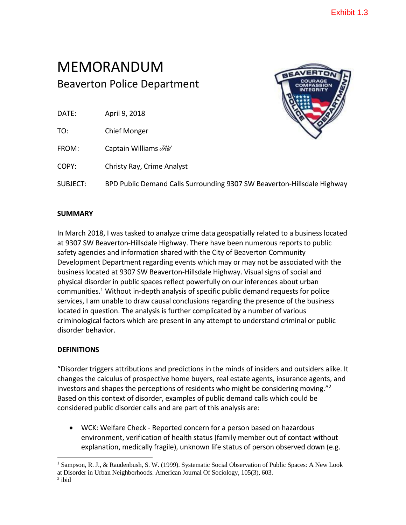# MEMORANDUM Beaverton Police Department

| VERTON                       |
|------------------------------|
| <b>COURAGE</b><br>COMPASSION |
| <b>INTEGRITY</b>             |
|                              |
|                              |
|                              |
|                              |
|                              |
|                              |
|                              |

| DATE: | April 9, 2018 |
|-------|---------------|
|       |               |

TO: Chief Monger

FROM: Captain Williams  $M$ 

COPY: Christy Ray, Crime Analyst

SUBJECT: BPD Public Demand Calls Surrounding 9307 SW Beaverton-Hillsdale Highway

## **SUMMARY**

In March 2018, I was tasked to analyze crime data geospatially related to a business located at 9307 SW Beaverton-Hillsdale Highway. There have been numerous reports to public safety agencies and information shared with the City of Beaverton Community Development Department regarding events which may or may not be associated with the business located at 9307 SW Beaverton-Hillsdale Highway. Visual signs of social and physical disorder in public spaces reflect powerfully on our inferences about urban communities.<sup>1</sup> Without in-depth analysis of specific public demand requests for police services, I am unable to draw causal conclusions regarding the presence of the business located in question. The analysis is further complicated by a number of various criminological factors which are present in any attempt to understand criminal or public disorder behavior.

## **DEFINITIONS**

"Disorder triggers attributions and predictions in the minds of insiders and outsiders alike. It changes the calculus of prospective home buyers, real estate agents, insurance agents, and investors and shapes the perceptions of residents who might be considering moving." 2 Based on this context of disorder, examples of public demand calls which could be considered public disorder calls and are part of this analysis are:

 WCK: Welfare Check - Reported concern for a person based on hazardous environment, verification of health status (family member out of contact without explanation, medically fragile), unknown life status of person observed down (e.g.

 $\overline{a}$ <sup>1</sup> Sampson, R. J., & Raudenbush, S. W. (1999). Systematic Social Observation of Public Spaces: A New Look at Disorder in Urban Neighborhoods. American Journal Of Sociology, 105(3), 603.

 $2$  ibid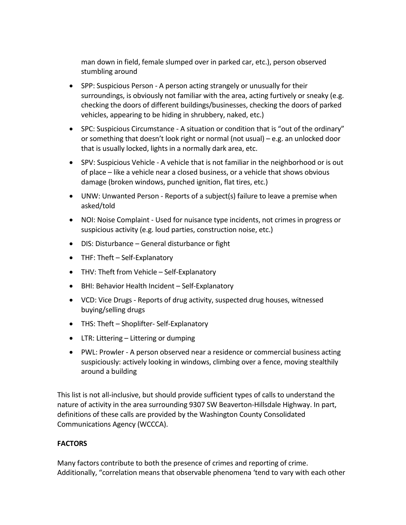man down in field, female slumped over in parked car, etc.), person observed stumbling around

- SPP: Suspicious Person A person acting strangely or unusually for their surroundings, is obviously not familiar with the area, acting furtively or sneaky (e.g. checking the doors of different buildings/businesses, checking the doors of parked vehicles, appearing to be hiding in shrubbery, naked, etc.)
- SPC: Suspicious Circumstance A situation or condition that is "out of the ordinary" or something that doesn't look right or normal (not usual) – e.g. an unlocked door that is usually locked, lights in a normally dark area, etc.
- SPV: Suspicious Vehicle A vehicle that is not familiar in the neighborhood or is out of place – like a vehicle near a closed business, or a vehicle that shows obvious damage (broken windows, punched ignition, flat tires, etc.)
- UNW: Unwanted Person Reports of a subject(s) failure to leave a premise when asked/told
- NOI: Noise Complaint Used for nuisance type incidents, not crimes in progress or suspicious activity (e.g. loud parties, construction noise, etc.)
- DIS: Disturbance General disturbance or fight
- THF: Theft Self-Explanatory
- THV: Theft from Vehicle Self-Explanatory
- BHI: Behavior Health Incident Self-Explanatory
- VCD: Vice Drugs Reports of drug activity, suspected drug houses, witnessed buying/selling drugs
- THS: Theft Shoplifter- Self-Explanatory
- LTR: Littering Littering or dumping
- PWL: Prowler A person observed near a residence or commercial business acting suspiciously: actively looking in windows, climbing over a fence, moving stealthily around a building

This list is not all-inclusive, but should provide sufficient types of calls to understand the nature of activity in the area surrounding 9307 SW Beaverton-Hillsdale Highway. In part, definitions of these calls are provided by the Washington County Consolidated Communications Agency (WCCCA).

### **FACTORS**

Many factors contribute to both the presence of crimes and reporting of crime. Additionally, "correlation means that observable phenomena 'tend to vary with each other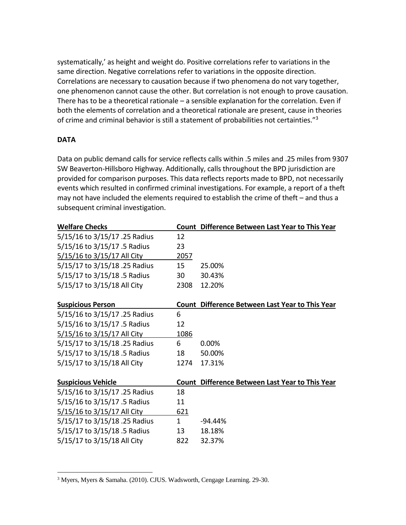systematically,' as height and weight do. Positive correlations refer to variations in the same direction. Negative correlations refer to variations in the opposite direction. Correlations are necessary to causation because if two phenomena do not vary together, one phenomenon cannot cause the other. But correlation is not enough to prove causation. There has to be a theoretical rationale – a sensible explanation for the correlation. Even if both the elements of correlation and a theoretical rationale are present, cause in theories of crime and criminal behavior is still a statement of probabilities not certainties."<sup>3</sup>

#### **DATA**

 $\overline{a}$ 

Data on public demand calls for service reflects calls within .5 miles and .25 miles from 9307 SW Beaverton-Hillsboro Highway. Additionally, calls throughout the BPD jurisdiction are provided for comparison purposes. This data reflects reports made to BPD, not necessarily events which resulted in confirmed criminal investigations. For example, a report of a theft may not have included the elements required to establish the crime of theft – and thus a subsequent criminal investigation.

| <b>Welfare Checks</b>         |              | Count Difference Between Last Year to This Year |
|-------------------------------|--------------|-------------------------------------------------|
| 5/15/16 to 3/15/17 .25 Radius | 12           |                                                 |
| 5/15/16 to 3/15/17 .5 Radius  | 23           |                                                 |
| 5/15/16 to 3/15/17 All City   | 2057         |                                                 |
| 5/15/17 to 3/15/18 .25 Radius | 15           | 25.00%                                          |
| 5/15/17 to 3/15/18 .5 Radius  | 30           | 30.43%                                          |
| 5/15/17 to 3/15/18 All City   | 2308         | 12.20%                                          |
|                               |              |                                                 |
| <b>Suspicious Person</b>      |              | Count Difference Between Last Year to This Year |
| 5/15/16 to 3/15/17 .25 Radius | 6            |                                                 |
| 5/15/16 to 3/15/17 .5 Radius  | 12           |                                                 |
| 5/15/16 to 3/15/17 All City   | 1086         |                                                 |
| 5/15/17 to 3/15/18 .25 Radius | 6            | 0.00%                                           |
| 5/15/17 to 3/15/18 .5 Radius  | 18           | 50.00%                                          |
| 5/15/17 to 3/15/18 All City   | 1274         | 17.31%                                          |
|                               |              |                                                 |
| <b>Suspicious Vehicle</b>     |              | Count Difference Between Last Year to This Year |
| 5/15/16 to 3/15/17 .25 Radius | 18           |                                                 |
| 5/15/16 to 3/15/17 .5 Radius  | 11           |                                                 |
| 5/15/16 to 3/15/17 All City   | <u>621</u>   |                                                 |
| 5/15/17 to 3/15/18 .25 Radius | $\mathbf{1}$ | -94.44%                                         |
| 5/15/17 to 3/15/18 .5 Radius  | 13           | 18.18%                                          |
| 5/15/17 to 3/15/18 All City   | 822          | 32.37%                                          |

<sup>3</sup> Myers, Myers & Samaha. (2010). CJUS. Wadsworth, Cengage Learning. 29-30.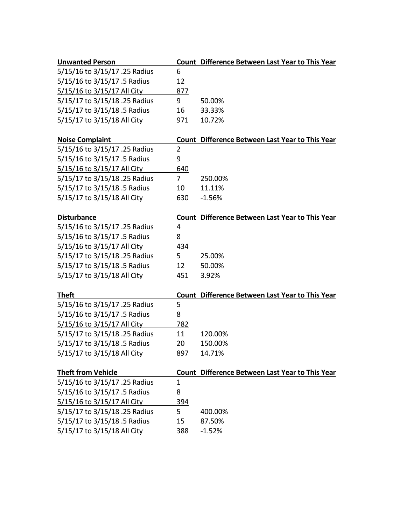| <b>Unwanted Person</b>        |                | Count Difference Between Last Year to This Year        |
|-------------------------------|----------------|--------------------------------------------------------|
| 5/15/16 to 3/15/17 .25 Radius | 6              |                                                        |
| 5/15/16 to 3/15/17 .5 Radius  | 12             |                                                        |
| 5/15/16 to 3/15/17 All City   | 877            |                                                        |
| 5/15/17 to 3/15/18 .25 Radius | 9              | 50.00%                                                 |
| 5/15/17 to 3/15/18 .5 Radius  | 16             | 33.33%                                                 |
| 5/15/17 to 3/15/18 All City   | 971            | 10.72%                                                 |
| <b>Noise Complaint</b>        |                | <b>Count Difference Between Last Year to This Year</b> |
| 5/15/16 to 3/15/17 .25 Radius | $\overline{2}$ |                                                        |
| 5/15/16 to 3/15/17 .5 Radius  | 9              |                                                        |
| 5/15/16 to 3/15/17 All City   | 640            |                                                        |
| 5/15/17 to 3/15/18 .25 Radius | 7              | 250.00%                                                |
| 5/15/17 to 3/15/18 .5 Radius  | 10             | 11.11%                                                 |
| 5/15/17 to 3/15/18 All City   | 630            | $-1.56%$                                               |
| <b>Disturbance</b>            |                | <b>Count Difference Between Last Year to This Year</b> |
| 5/15/16 to 3/15/17 .25 Radius | 4              |                                                        |
| 5/15/16 to 3/15/17 .5 Radius  | 8              |                                                        |
| 5/15/16 to 3/15/17 All City   | 434            |                                                        |
| 5/15/17 to 3/15/18 .25 Radius | 5              | 25.00%                                                 |
| 5/15/17 to 3/15/18 .5 Radius  | 12             | 50.00%                                                 |
| 5/15/17 to 3/15/18 All City   | 451            | 3.92%                                                  |
|                               |                |                                                        |
| <b>Theft</b>                  |                | <b>Count Difference Between Last Year to This Year</b> |
| 5/15/16 to 3/15/17 .25 Radius | 5              |                                                        |
| 5/15/16 to 3/15/17 .5 Radius  | 8              |                                                        |
| 5/15/16 to 3/15/17 All City   | <u>782</u>     |                                                        |
| 5/15/17 to 3/15/18 .25 Radius | 11             | 120.00%                                                |
| 5/15/17 to 3/15/18 .5 Radius  | 20             | 150.00%                                                |
| 5/15/17 to 3/15/18 All City   | 897            | 14.71%                                                 |
| <b>Theft from Vehicle</b>     |                | <b>Count Difference Between Last Year to This Year</b> |
| 5/15/16 to 3/15/17 .25 Radius | $\mathbf{1}$   |                                                        |
| 5/15/16 to 3/15/17 .5 Radius  | 8              |                                                        |
| 5/15/16 to 3/15/17 All City   | 394            |                                                        |
| 5/15/17 to 3/15/18 .25 Radius | 5              | 400.00%                                                |
| 5/15/17 to 3/15/18 .5 Radius  | 15             | 87.50%                                                 |
| 5/15/17 to 3/15/18 All City   | 388            | $-1.52%$                                               |
|                               |                |                                                        |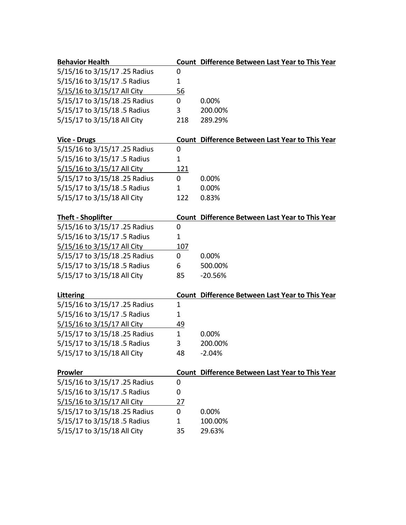| <b>Behavior Health</b>        |              | <b>Count Difference Between Last Year to This Year</b> |
|-------------------------------|--------------|--------------------------------------------------------|
| 5/15/16 to 3/15/17 .25 Radius | 0            |                                                        |
| 5/15/16 to 3/15/17 .5 Radius  | 1            |                                                        |
| 5/15/16 to 3/15/17 All City   | 56           |                                                        |
| 5/15/17 to 3/15/18 .25 Radius | 0            | 0.00%                                                  |
| 5/15/17 to 3/15/18 .5 Radius  | 3            | 200.00%                                                |
| 5/15/17 to 3/15/18 All City   | 218          | 289.29%                                                |
|                               |              |                                                        |
| <b>Vice - Drugs</b>           |              | <b>Count Difference Between Last Year to This Year</b> |
| 5/15/16 to 3/15/17 .25 Radius | 0            |                                                        |
| 5/15/16 to 3/15/17 .5 Radius  | 1            |                                                        |
| 5/15/16 to 3/15/17 All City   | 121          |                                                        |
| 5/15/17 to 3/15/18 .25 Radius | 0            | 0.00%                                                  |
| 5/15/17 to 3/15/18 .5 Radius  | 1            | 0.00%                                                  |
| 5/15/17 to 3/15/18 All City   | 122          | 0.83%                                                  |
| <b>Theft - Shoplifter</b>     |              | <b>Count Difference Between Last Year to This Year</b> |
| 5/15/16 to 3/15/17 .25 Radius | 0            |                                                        |
| 5/15/16 to 3/15/17 .5 Radius  | $\mathbf 1$  |                                                        |
| 5/15/16 to 3/15/17 All City   | 107          |                                                        |
| 5/15/17 to 3/15/18 .25 Radius | 0            | 0.00%                                                  |
| 5/15/17 to 3/15/18 .5 Radius  | 6            | 500.00%                                                |
| 5/15/17 to 3/15/18 All City   | 85           | $-20.56%$                                              |
|                               |              |                                                        |
| <b>Littering</b>              |              | <b>Count Difference Between Last Year to This Year</b> |
| 5/15/16 to 3/15/17 .25 Radius | $\mathbf{1}$ |                                                        |
| 5/15/16 to 3/15/17 .5 Radius  | 1            |                                                        |
| 5/15/16 to 3/15/17 All City   | 49           |                                                        |
| 5/15/17 to 3/15/18 .25 Radius | $\mathbf{1}$ | 0.00%                                                  |
| 5/15/17 to 3/15/18 .5 Radius  | 3            | 200.00%                                                |
| 5/15/17 to 3/15/18 All City   | 48           | $-2.04%$                                               |
| Prowler                       |              | Count Difference Between Last Year to This Year        |
| 5/15/16 to 3/15/17 .25 Radius | 0            |                                                        |
| 5/15/16 to 3/15/17 .5 Radius  | 0            |                                                        |
| 5/15/16 to 3/15/17 All City   | 27           |                                                        |
| 5/15/17 to 3/15/18 .25 Radius | 0            | 0.00%                                                  |
| 5/15/17 to 3/15/18 .5 Radius  | $\mathbf{1}$ | 100.00%                                                |
| 5/15/17 to 3/15/18 All City   | 35           | 29.63%                                                 |
|                               |              |                                                        |